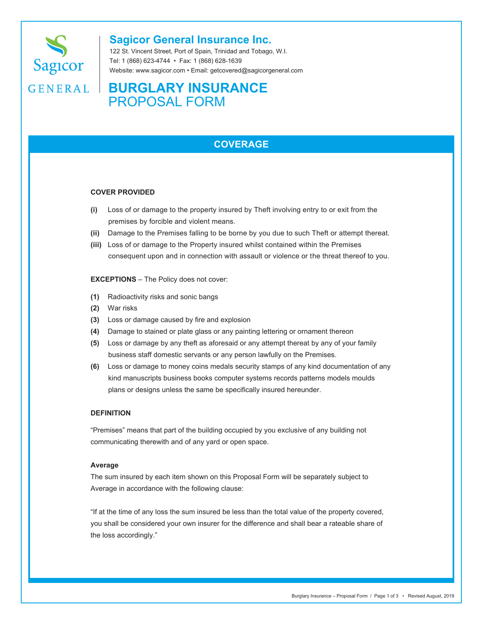

## **Sagicor General Insurance Inc.**

122 St. Vincent Street, Port of Spain, Trinidad and Tobago, W.I. Tel: 1 (868) 623-4744 • Fax: 1 (868) 628-1639 Website: www.sagicor.com • Email: getcovered@sagicorgeneral.com

# GENERAL | BURGLARY INSURANCE PROPOSAL FORM

## **COVERAGE**

#### **COVER PROVIDED**

- **(i)** Loss of or damage to the property insured by Theft involving entry to or exit from the premises by forcible and violent means.
- **(ii)** Damage to the Premises falling to be borne by you due to such Theft or attempt thereat.
- **(iii)** Loss of or damage to the Property insured whilst contained within the Premises consequent upon and in connection with assault or violence or the threat thereof to you.

**EXCEPTIONS** – The Policy does not cover:

- **(1)** Radioactivity risks and sonic bangs
- **(2)** War risks
- **(3)** Loss or damage caused by fire and explosion
- **(4)** Damage to stained or plate glass or any painting lettering or ornament thereon
- **(5)** Loss or damage by any theft as aforesaid or any attempt thereat by any of your family business staff domestic servants or any person lawfully on the Premises.
- **(6)** Loss or damage to money coins medals security stamps of any kind documentation of any kind manuscripts business books computer systems records patterns models moulds plans or designs unless the same be specifically insured hereunder.

#### **DEFINITION**

"Premises" means that part of the building occupied by you exclusive of any building not communicating therewith and of any yard or open space.

#### **Average**

The sum insured by each item shown on this Proposal Form will be separately subject to Average in accordance with the following clause:

"If at the time of any loss the sum insured be less than the total value of the property covered, you shall be considered your own insurer for the difference and shall bear a rateable share of the loss accordingly."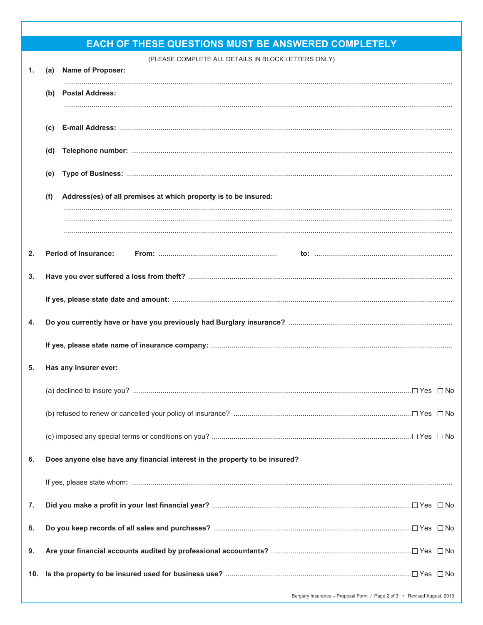| <b>EACH OF THESE QUESTIONS MUST BE ANSWERED COMPLETELY</b> |     |                                                                              |  |  |
|------------------------------------------------------------|-----|------------------------------------------------------------------------------|--|--|
| 1.                                                         |     | (PLEASE COMPLETE ALL DETAILS IN BLOCK LETTERS ONLY)<br>(a) Name of Proposer: |  |  |
|                                                            | (b) | <b>Postal Address:</b>                                                       |  |  |
|                                                            |     |                                                                              |  |  |
|                                                            | (C) |                                                                              |  |  |
|                                                            | (d) |                                                                              |  |  |
|                                                            | (e) |                                                                              |  |  |
|                                                            | (f) | Address(es) of all premises at which property is to be insured:              |  |  |
|                                                            |     |                                                                              |  |  |
|                                                            |     |                                                                              |  |  |
| 2.                                                         |     | <b>Period of Insurance:</b>                                                  |  |  |
| 3.                                                         |     |                                                                              |  |  |
|                                                            |     |                                                                              |  |  |
|                                                            |     |                                                                              |  |  |
| 4.                                                         |     |                                                                              |  |  |
|                                                            |     |                                                                              |  |  |
| 5.                                                         |     | Has any insurer ever:                                                        |  |  |
|                                                            |     |                                                                              |  |  |
|                                                            |     |                                                                              |  |  |
|                                                            |     |                                                                              |  |  |
| 6.                                                         |     | Does anyone else have any financial interest in the property to be insured?  |  |  |
|                                                            |     |                                                                              |  |  |
| 7.                                                         |     |                                                                              |  |  |
| 8.                                                         |     |                                                                              |  |  |
| 9.                                                         |     |                                                                              |  |  |
| 10.                                                        |     |                                                                              |  |  |
|                                                            |     | Burglary Insurance - Proposal Form / Page 2 of 3 • Revised August, 2019      |  |  |